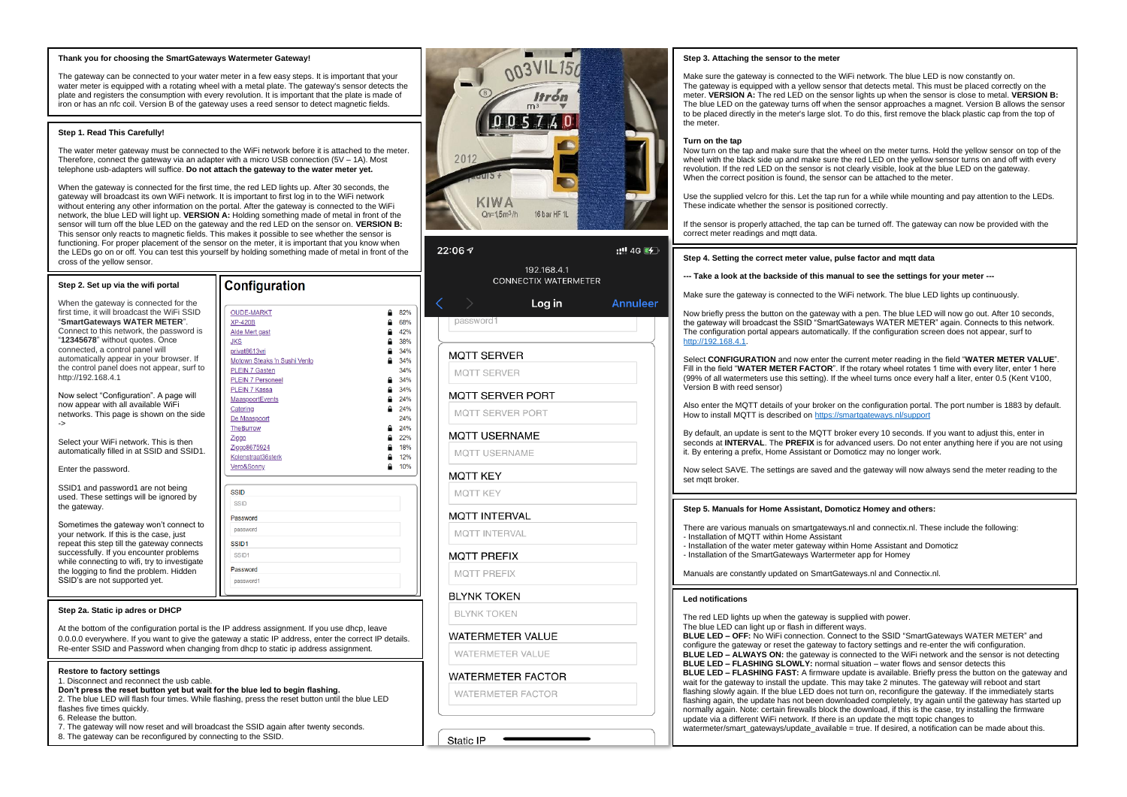#### **Thank you for choosing the SmartGateways Watermeter Gateway !**

The gateway can be connected to your water meter in a few easy steps. It is important that your water meter is equipped with a rotating wheel with a metal plate. The gateway's sensor detects the plate and registers the consumption with every revolution. It is important that the plate is made of iron or has an nfc coil. Version B of the gateway uses a reed sensor to detect magnetic fields.

## **Step 1. Read This Carefully!**

The water meter gateway must be connected to the WiFi network before it is attached to the meter. Therefore, connect the gateway via an adapter with a micro USB connection (5V – 1A). Most telephone usb -adapters will suffice. **Do not attach the gateway to the water meter yet.**

When the gateway is connected for the first time, the red LED lights up. After 30 seconds, the gateway will broadcast its own WiFi network. It is important to first log in to the WiFi network without entering any other information on the portal. After the gateway is connected to the WiFi network, the blue LED will light up. **VERSION A:** Holding something made of metal in front of the sensor will turn off the blue LED on the gateway and the red LED on the sensor on. **VERSION B:** This sensor only reacts to magnetic fields. This makes it possible to see whether the sensor is functioning. For proper placement of the sensor on the meter, it is important that you know when the LEDs go on or off. You can test this yourself by holding something made of metal in front of the cross of the yellow sensor.

| Step 2. Set up via the wifi portal                                                                                                                                                                                                                                                                                                                                                                                                                                                                                                                                                | Configuration                                                                                                                                                                                                                                                                                                                     |                                                                                                                                              |
|-----------------------------------------------------------------------------------------------------------------------------------------------------------------------------------------------------------------------------------------------------------------------------------------------------------------------------------------------------------------------------------------------------------------------------------------------------------------------------------------------------------------------------------------------------------------------------------|-----------------------------------------------------------------------------------------------------------------------------------------------------------------------------------------------------------------------------------------------------------------------------------------------------------------------------------|----------------------------------------------------------------------------------------------------------------------------------------------|
| When the gateway is connected for the<br>first time, it will broadcast the WiFi SSID<br>"SmartGateways WATER METER".<br>Connect to this network, the password is<br>"12345678" without quotes. Once<br>connected, a control panel will<br>automatically appear in your browser. If<br>the control panel does not appear, surf to<br>http://192.168.4.1<br>Now select "Configuration". A page will<br>now appear with all available WiFi<br>networks. This page is shown on the side<br>-><br>Select your WiFi network. This is then<br>automatically filled in at SSID and SSID1. | <b>OUDE-MARKT</b><br><b>XP-420B</b><br>Alde Mert gast<br><b>JKS</b><br>privat8613vri<br>Motown Steaks 'n Sushi Venlo<br><b>PLEIN 7 Gasten</b><br><b>PLEIN 7 Personeel</b><br><b>PLEIN 7 Kassa</b><br>MaaspoortEvents<br>Catering<br>De Maaspoort<br><b>TheBurrow</b><br>Ziggo<br>Ziggo8675924<br>Kolenstraat36sterk<br>Vero&Sonny | 82%<br>68%<br>42%<br>38%<br>34%<br>34%<br>≏<br>34%<br>34%<br>34%<br>24%<br>≏<br>24%<br>≏<br>24%<br>24%<br>22%<br>≏<br>18%<br>≏<br>12%<br>10% |
| Enter the password.                                                                                                                                                                                                                                                                                                                                                                                                                                                                                                                                                               |                                                                                                                                                                                                                                                                                                                                   |                                                                                                                                              |
| SSID1 and password1 are not being<br>used. These settings will be ignored by<br>the gateway.<br>Sometimes the gateway won't connect to<br>your network. If this is the case, just<br>repeat this step till the gateway connects<br>successfully. If you encounter problems<br>while connecting to wifi, try to investigate<br>the logging to find the problem. Hidden<br>SSID's are not supported yet.                                                                                                                                                                            | <b>SSID</b><br><b>SSID</b><br>Password<br>password<br>SSID <sub>1</sub><br>SSID <sub>1</sub><br>Password<br>password1                                                                                                                                                                                                             |                                                                                                                                              |

#### **Step 2a. Static ip adres o r DHCP**

At the bottom of the configuration portal is the IP address assignment. If you use dhcp, leave 0.0.0.0 everywhere. If you want to give the gateway a static IP address, enter the correct IP details. Re -enter SSID and Password when changing from dhcp to static ip address assignment.

## **Restore to factory settings**

1. Disconnect and reconnect the usb cable.

- **Don't press the reset button yet but wait for the blue led to begin flashing.** 2. The blue LED will flash four times. While flashing, press the reset button until the blue LED
- flashes five times quickly.
- 6. Release the button.
- 7. The gateway will now reset and will broadcast the SSID again after twenty seconds.
- 8. The gateway can be reconfigured by connecting to the SSID.



# $22:067$  $-1146$ 192 168 41 **CONNECTIX WATERMETER** Loa in Annuleer nassword<sup>-</sup> **MOTT SERVER** MOTT SERVER MOTT SERVER PORT MOTT SERVER PORT

**MOTT USERNAME** 

MOTT USEBNAME

MOTT KFY

**MOTT INTERVAL** 

**MOTT INTERVAL** 

# **MOTT PREFIX**

**MOTT PREFIX** 

**BLYNK TOKEN** 

**BI YNK TOKEN** 

**WATERMETER VALUE** 

WATERMETER VALUE

# **WATERMETER FACTOR**

WATERMETER FACTOR

Static IP

## **Step 3. Attaching the sensor to the meter**

Make sure the gateway is connected to the WiFi network. The blue LED is now constantly on. The gateway is equipped with a yellow sensor that detects metal. This must be placed correctly on the meter. **VERSION A:** The red LED on the sensor lights up when the sensor is close to metal. **VERSION B:** The blue LED on the gateway turns off when the sensor approaches a magnet. Version B allows the sensor to be placed directly in the meter's large slot. To do this, first remove the black plastic cap from the top of the meter.

# **Turn on the tap**

Now turn on the tap and make sure that the wheel on the meter turns. Hold the yellow sensor on top of the wheel with the black side up and make sure the red LED on the yellow sensor turns on and off with every revolution. If the red LED on the sensor is not clearly visible, look at the blue LED on the gateway. When the correct position is found, the sensor can be attached to the meter.

Use the supplied velcro for this. Let the tap run for a while while mounting and pay attention to the LEDs. These indicate whether the sensor is positioned correctly.

If the sensor is properly attached, the tap can be turned off. The gateway can now be provided with the correct meter readings and mott data.

## **Step 4. Setting the correct meter value, pulse factor and mqtt data**

## **-- - Take a look at the backside of this manual to see the settings for your meter ---**

Make sure the gateway is connected to the WiFi network. The blue LED lights up continuously.

Now briefly press the button on the gateway with a pen. The blue LED will now go out. After 10 seconds, the gateway will broadcast the SSID "SmartGateways WATER METER" again. Connects to this network. The configuration portal appears automatically. If the configuration screen does not appear, surf to [http://192.168.4.1](http://192.168.4.1/).

Select **CONFIGURATION** and now enter the current meter reading in the field "**WATER METER VALUE**". Fill in the field "**WATER METER FACTOR**". If the rotary wheel rotates 1 time with every liter, enter 1 here (99% of all watermeters use this setting). If the wheel turns once every half a liter, enter 0.5 (Kent V100, Version B with reed sensor )

Also enter the MQTT details of your broker on the configuration portal. The port number is 1883 by default. How to install MOTT is described o[n https://smartgateways.nl/support](https://smartgateways.nl/support)

By default, an update is sent to the MQTT broker every 10 seconds. If you want to adjust this, enter in seconds at **INTERVAL**. The **PREFIX** is for advanced users. Do not enter anything here if you are not using it. By entering a prefix, Home Assistant or Domoticz may no longer work.

Now select SAVE. The settings are saved and the gateway will now always send the meter reading to the set matt broker.

#### **St ep 5. Manuals for Home Assistant, Domoticz Homey and others:**

There are various manuals on smartgateways.nl and connectix.nl. These include the following: - Installation of MQTT within Home Assistant

- Installation of the water meter gateway within Home Assistant and Domoticz

- Installation of the SmartGateways Wartermeter app for Homey

Manuals are constantly updated on SmartGateways.nl and Connectix.nl.

# **Led notifications**

The red LED lights up when the gateway is supplied with power.

The blue LED can light up or flash in different ways. **BLUE LED – OFF:** No WiFi connection. Connect to the SSID "SmartGateways WATER METER" and configure the gateway or reset the gateway to factory settings and re -enter the wifi configuration. **BLUE LED – ALWAYS ON:** the gateway is connected to the WiFi network and the sensor is not detecting **BLUE LED – FLASHING SLOWLY:** normal situation – water flows and sensor detects this **BLUE LED – FLASHING FAST:** A firmware update is available. Briefly press the button on the gateway and wait for the gateway to install the update. This may take 2 minutes. The gateway will reboot and start flashing slowly again. If the blue LED does not turn on, reconfigure the gateway. If the immediately starts flashing again, the update has not been downloaded completely, try again until the gateway has started up normally again. Note: certain firewalls block the download, if this is the case, try installing the firmware update via a different WiFi network. If there is an update the mqtt topic changes to watermeter/smart\_gateways/update\_available = true. If desired, a notification can be made about this.

MOTT KFY